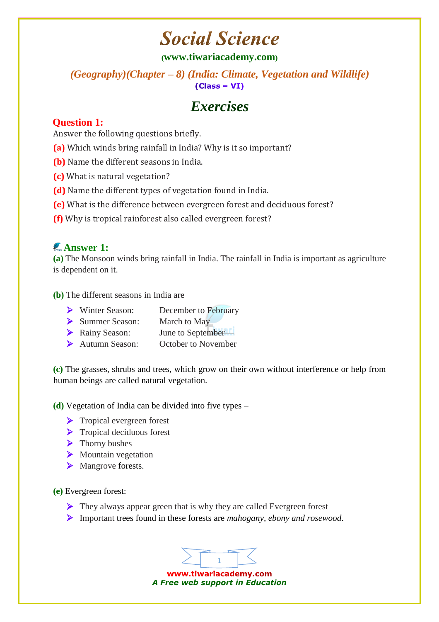### **Social Science**

#### **([www.tiwariacademy.com](http://www.tiwariacademy.com/))**

# *(Geography)(Chapter – 8) (India: Climate, Vegetation and Wildlife)*

### *Exercises*

#### **Question 1:**

Answer the following questions briefly.

- **(a)** Which winds bring rainfall in India? Why is it so important?
- **(b)** Name the different seasons in India.
- **(c)** What is natural vegetation?
- **(d)** Name the different types of vegetation found in India.
- **(e)** What is the difference between evergreen forest and deciduous forest?
- **(f)** Why is tropical rainforest also called evergreen forest?

#### **Answer 1:**

**(a)** The Monsoon winds bring rainfall in India. The rainfall in India is important as agriculture is dependent on it.

**(b)** The different seasons in India are

- Winter Season: December to February
- Summer Season: March to May
- > Rainy Season: June to September
- Autumn Season: October to November

**(c)** The grasses, shrubs and trees, which grow on their own without interference or help from human beings are called natural vegetation.

**(d)** Vegetation of India can be divided into five types –

- > Tropical evergreen forest
- $\triangleright$  Tropical deciduous forest
- $\blacktriangleright$  Thorny bushes
- $\triangleright$  Mountain vegetation
- > Mangrove forests.

#### **(e)** Evergreen forest:

- $\triangleright$  They always appear green that is why they are called Evergreen forest
- Important trees found in these forests are *mahogany, ebony and rosewood*.

1 www.tiwariacademy.com

*A Free web support in Education*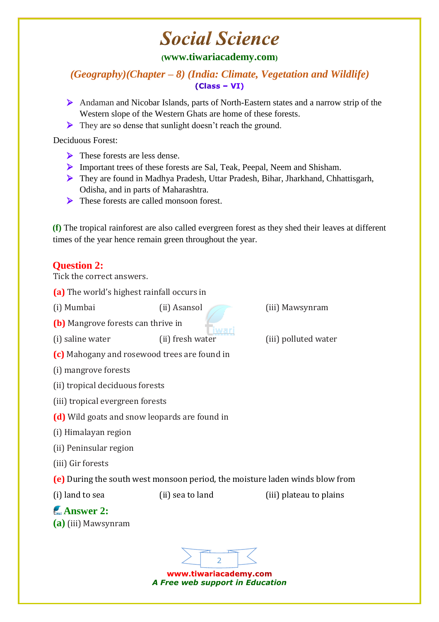## **Social Science**

#### **([www.tiwariacademy.com](http://www.tiwariacademy.com/))**

*(Geography)(Chapter – 8) (India: Climate, Vegetation and Wildlife)*   $(Class - VI)$ 

- Andaman and Nicobar Islands, parts of North-Eastern states and a narrow strip of the Western slope of the Western Ghats are home of these forests.
- They are so dense that sunlight doesn't reach the ground.

Deciduous Forest:

- $\triangleright$  These forests are less dense.
- Important trees of these forests are Sal, Teak, Peepal, Neem and Shisham.
- They are found in Madhya Pradesh, Uttar Pradesh, Bihar, Jharkhand, Chhattisgarh, Odisha, and in parts of Maharashtra.
- $\triangleright$  These forests are called monsoon forest.

**(f)** The tropical rainforest are also called evergreen forest as they shed their leaves at different times of the year hence remain green throughout the year.

#### **Question 2:**

Tick the correct answers.

- **(a)** The world's highest rainfall occurs in
- 
- **(b)** Mangrove forests can thrive in
- (i) saline water (ii) fresh water (iii) polluted water
- **(c)** Mahogany and rosewood trees are found in
- (i) mangrove forests
- (ii) tropical deciduous forests
- (iii) tropical evergreen forests
- **(d)** Wild goats and snow leopards are found in
- (i) Himalayan region
- (ii) Peninsular region
- (iii) Gir forests
- **(e)** During the south west monsoon period, the moisture laden winds blow from

(i) land to sea (ii) sea to land (iii) plateau to plains

#### **Answer 2: (a)** (iii) Mawsynram



www.tiwariacademy.com *A Free web support in Education*

(i) Mumbai (ii) Asansol (iii) Mawsynram